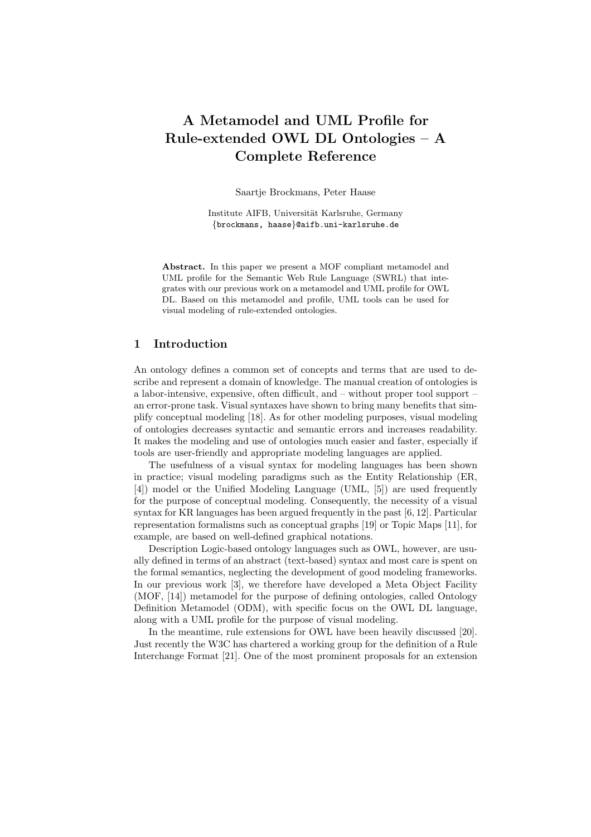# A Metamodel and UML Profile for Rule-extended OWL DL Ontologies – A Complete Reference

Saartje Brockmans, Peter Haase

Institute AIFB, Universität Karlsruhe, Germany {brockmans, haase}@aifb.uni-karlsruhe.de

Abstract. In this paper we present a MOF compliant metamodel and UML profile for the Semantic Web Rule Language (SWRL) that integrates with our previous work on a metamodel and UML profile for OWL DL. Based on this metamodel and profile, UML tools can be used for visual modeling of rule-extended ontologies.

# 1 Introduction

An ontology defines a common set of concepts and terms that are used to describe and represent a domain of knowledge. The manual creation of ontologies is a labor-intensive, expensive, often difficult, and – without proper tool support – an error-prone task. Visual syntaxes have shown to bring many benefits that simplify conceptual modeling [18]. As for other modeling purposes, visual modeling of ontologies decreases syntactic and semantic errors and increases readability. It makes the modeling and use of ontologies much easier and faster, especially if tools are user-friendly and appropriate modeling languages are applied.

The usefulness of a visual syntax for modeling languages has been shown in practice; visual modeling paradigms such as the Entity Relationship (ER, [4]) model or the Unified Modeling Language (UML, [5]) are used frequently for the purpose of conceptual modeling. Consequently, the necessity of a visual syntax for KR languages has been argued frequently in the past [6, 12]. Particular representation formalisms such as conceptual graphs [19] or Topic Maps [11], for example, are based on well-defined graphical notations.

Description Logic-based ontology languages such as OWL, however, are usually defined in terms of an abstract (text-based) syntax and most care is spent on the formal semantics, neglecting the development of good modeling frameworks. In our previous work [3], we therefore have developed a Meta Object Facility (MOF, [14]) metamodel for the purpose of defining ontologies, called Ontology Definition Metamodel (ODM), with specific focus on the OWL DL language, along with a UML profile for the purpose of visual modeling.

In the meantime, rule extensions for OWL have been heavily discussed [20]. Just recently the W3C has chartered a working group for the definition of a Rule Interchange Format [21]. One of the most prominent proposals for an extension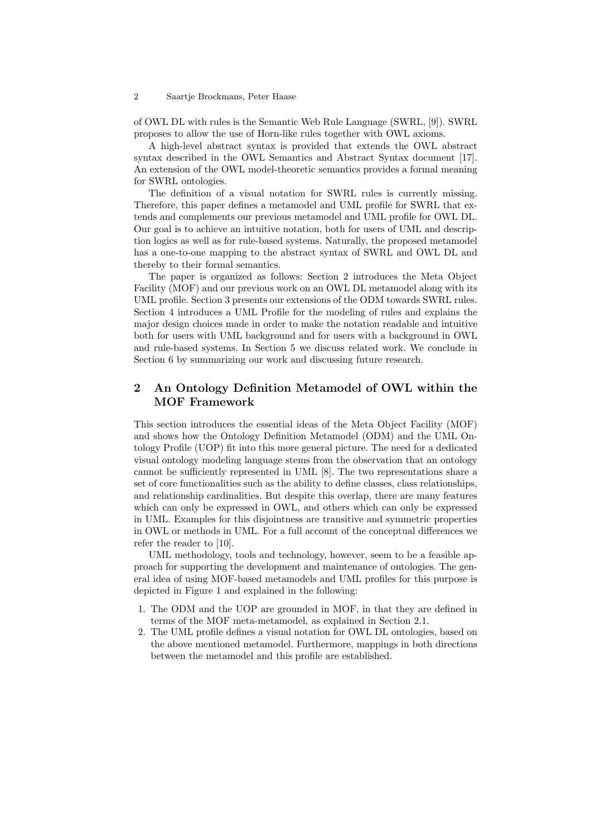of OWL DL with rules is the Semantic Web Rule Language (SWRL, [9]). SWRL proposes to allow the use of Horn-like rules together with OWL axioms.

A high-level abstract syntax is provided that extends the OWL abstract syntax described in the OWL Semantics and Abstract Syntax document [17]. An extension of the OWL model-theoretic semantics provides a formal meaning for SWRL ontologies.

The definition of a visual notation for SWRL rules is currently missing. Therefore, this paper defines a metamodel and UML profile for SWRL that extends and complements our previous metamodel and UML profile for OWL DL. Our goal is to achieve an intuitive notation, both for users of UML and description logics as well as for rule-based systems. Naturally, the proposed metamodel has a one-to-one mapping to the abstract syntax of SWRL and OWL DL and thereby to their formal semantics.

The paper is organized as follows: Section 2 introduces the Meta Object Facility (MOF) and our previous work on an OWL DL metamodel along with its UML profile. Section 3 presents our extensions of the ODM towards SWRL rules. Section 4 introduces a UML Profile for the modeling of rules and explains the major design choices made in order to make the notation readable and intuitive both for users with UML background and for users with a background in OWL and rule-based systems. In Section 5 we discuss related work. We conclude in Section 6 by summarizing our work and discussing future research.

# 2 An Ontology Definition Metamodel of OWL within the MOF Framework

This section introduces the essential ideas of the Meta Object Facility (MOF) and shows how the Ontology Definition Metamodel (ODM) and the UML Ontology Profile (UOP) fit into this more general picture. The need for a dedicated visual ontology modeling language stems from the observation that an ontology cannot be sufficiently represented in UML [8]. The two representations share a set of core functionalities such as the ability to define classes, class relationships, and relationship cardinalities. But despite this overlap, there are many features which can only be expressed in OWL, and others which can only be expressed in UML. Examples for this disjointness are transitive and symmetric properties in OWL or methods in UML. For a full account of the conceptual differences we refer the reader to [10].

UML methodology, tools and technology, however, seem to be a feasible approach for supporting the development and maintenance of ontologies. The general idea of using MOF-based metamodels and UML profiles for this purpose is depicted in Figure 1 and explained in the following:

- 1. The ODM and the UOP are grounded in MOF, in that they are defined in terms of the MOF meta-metamodel, as explained in Section 2.1.
- 2. The UML profile defines a visual notation for OWL DL ontologies, based on the above mentioned metamodel. Furthermore, mappings in both directions between the metamodel and this profile are established.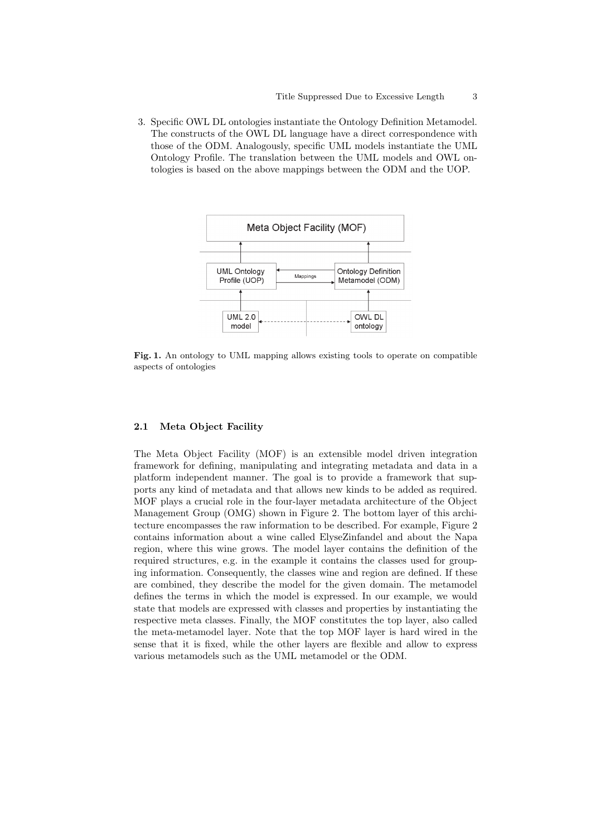3. Specific OWL DL ontologies instantiate the Ontology Definition Metamodel. The constructs of the OWL DL language have a direct correspondence with those of the ODM. Analogously, specific UML models instantiate the UML Ontology Profile. The translation between the UML models and OWL ontologies is based on the above mappings between the ODM and the UOP.



Fig. 1. An ontology to UML mapping allows existing tools to operate on compatible aspects of ontologies

### 2.1 Meta Object Facility

The Meta Object Facility (MOF) is an extensible model driven integration framework for defining, manipulating and integrating metadata and data in a platform independent manner. The goal is to provide a framework that supports any kind of metadata and that allows new kinds to be added as required. MOF plays a crucial role in the four-layer metadata architecture of the Object Management Group (OMG) shown in Figure 2. The bottom layer of this architecture encompasses the raw information to be described. For example, Figure 2 contains information about a wine called ElyseZinfandel and about the Napa region, where this wine grows. The model layer contains the definition of the required structures, e.g. in the example it contains the classes used for grouping information. Consequently, the classes wine and region are defined. If these are combined, they describe the model for the given domain. The metamodel defines the terms in which the model is expressed. In our example, we would state that models are expressed with classes and properties by instantiating the respective meta classes. Finally, the MOF constitutes the top layer, also called the meta-metamodel layer. Note that the top MOF layer is hard wired in the sense that it is fixed, while the other layers are flexible and allow to express various metamodels such as the UML metamodel or the ODM.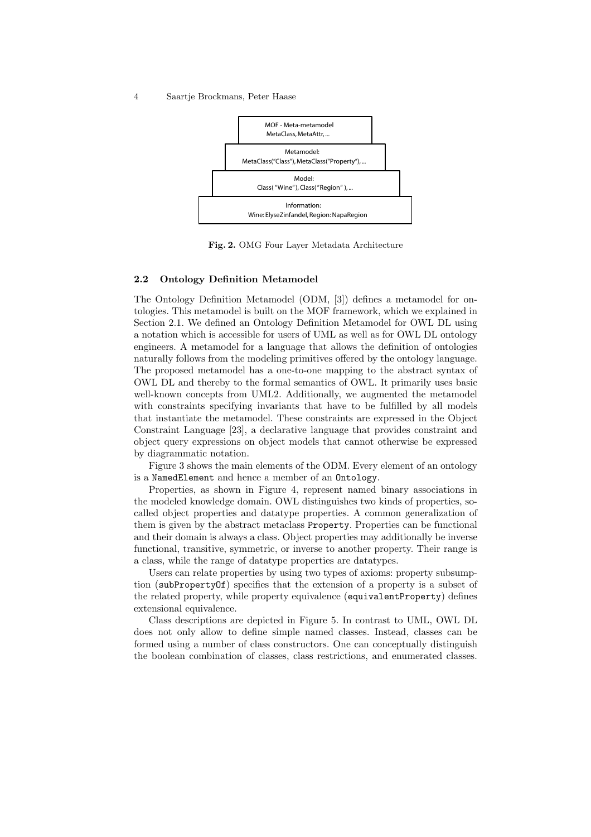

Fig. 2. OMG Four Layer Metadata Architecture

## 2.2 Ontology Definition Metamodel

The Ontology Definition Metamodel (ODM, [3]) defines a metamodel for ontologies. This metamodel is built on the MOF framework, which we explained in Section 2.1. We defined an Ontology Definition Metamodel for OWL DL using a notation which is accessible for users of UML as well as for OWL DL ontology engineers. A metamodel for a language that allows the definition of ontologies naturally follows from the modeling primitives offered by the ontology language. The proposed metamodel has a one-to-one mapping to the abstract syntax of OWL DL and thereby to the formal semantics of OWL. It primarily uses basic well-known concepts from UML2. Additionally, we augmented the metamodel with constraints specifying invariants that have to be fulfilled by all models that instantiate the metamodel. These constraints are expressed in the Object Constraint Language [23], a declarative language that provides constraint and object query expressions on object models that cannot otherwise be expressed by diagrammatic notation.

Figure 3 shows the main elements of the ODM. Every element of an ontology is a NamedElement and hence a member of an Ontology.

Properties, as shown in Figure 4, represent named binary associations in the modeled knowledge domain. OWL distinguishes two kinds of properties, socalled object properties and datatype properties. A common generalization of them is given by the abstract metaclass Property. Properties can be functional and their domain is always a class. Object properties may additionally be inverse functional, transitive, symmetric, or inverse to another property. Their range is a class, while the range of datatype properties are datatypes.

Users can relate properties by using two types of axioms: property subsumption (subPropertyOf) specifies that the extension of a property is a subset of the related property, while property equivalence (equivalentProperty) defines extensional equivalence.

Class descriptions are depicted in Figure 5. In contrast to UML, OWL DL does not only allow to define simple named classes. Instead, classes can be formed using a number of class constructors. One can conceptually distinguish the boolean combination of classes, class restrictions, and enumerated classes.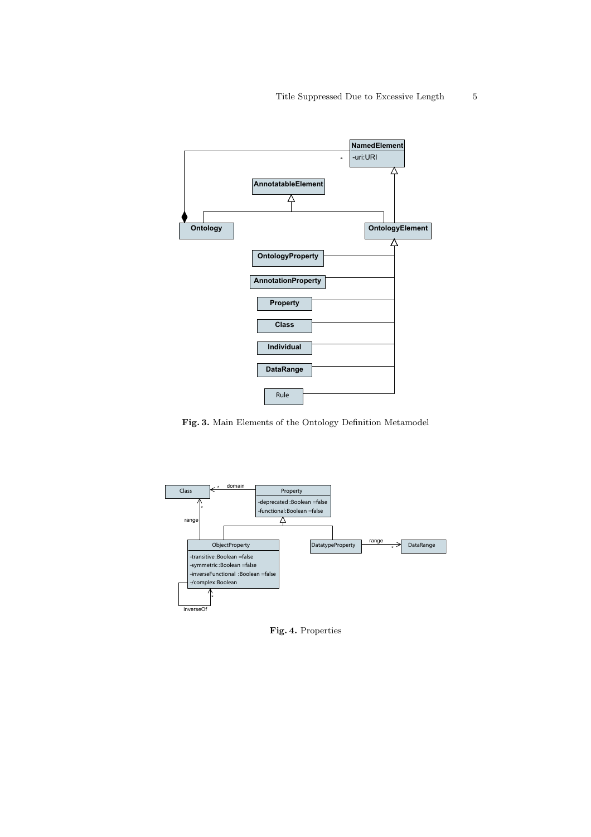

Fig. 3. Main Elements of the Ontology Definition Metamodel



Fig. 4. Properties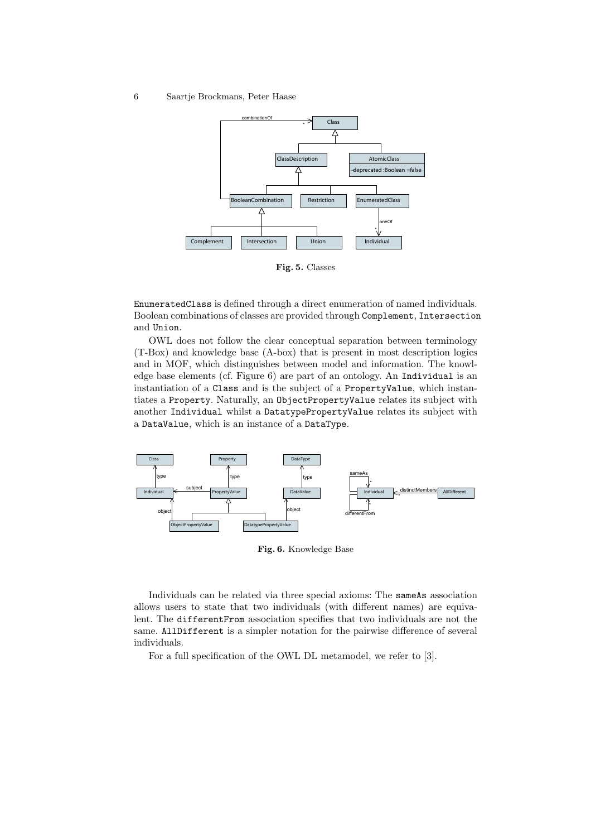

Fig. 5. Classes

EnumeratedClass is defined through a direct enumeration of named individuals. Boolean combinations of classes are provided through Complement, Intersection and Union.

OWL does not follow the clear conceptual separation between terminology (T-Box) and knowledge base (A-box) that is present in most description logics and in MOF, which distinguishes between model and information. The knowledge base elements (cf. Figure 6) are part of an ontology. An Individual is an instantiation of a Class and is the subject of a PropertyValue, which instantiates a Property. Naturally, an ObjectPropertyValue relates its subject with another Individual whilst a DatatypePropertyValue relates its subject with a DataValue, which is an instance of a DataType.



Fig. 6. Knowledge Base

Individuals can be related via three special axioms: The sameAs association allows users to state that two individuals (with different names) are equivalent. The differentFrom association specifies that two individuals are not the same. AllDifferent is a simpler notation for the pairwise difference of several individuals.

For a full specification of the OWL DL metamodel, we refer to [3].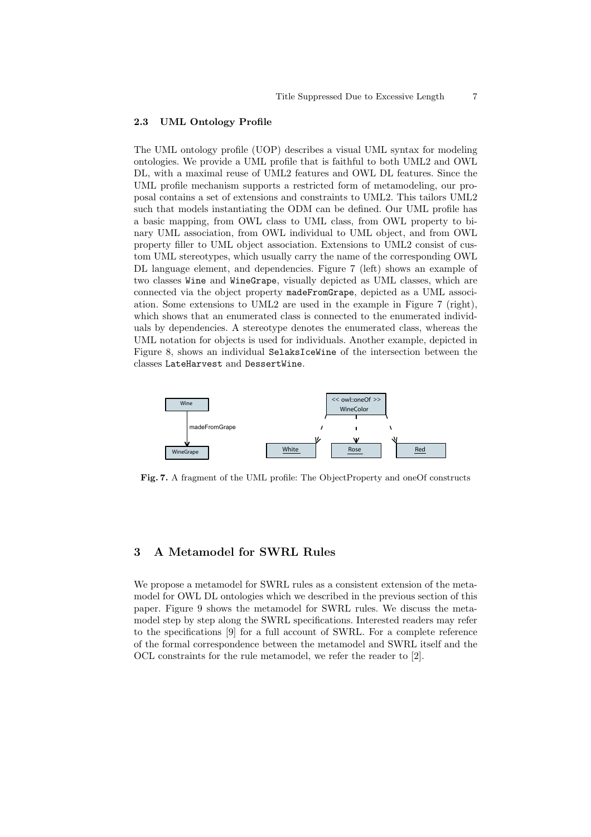#### 2.3 UML Ontology Profile

The UML ontology profile (UOP) describes a visual UML syntax for modeling ontologies. We provide a UML profile that is faithful to both UML2 and OWL DL, with a maximal reuse of UML2 features and OWL DL features. Since the UML profile mechanism supports a restricted form of metamodeling, our proposal contains a set of extensions and constraints to UML2. This tailors UML2 such that models instantiating the ODM can be defined. Our UML profile has a basic mapping, from OWL class to UML class, from OWL property to binary UML association, from OWL individual to UML object, and from OWL property filler to UML object association. Extensions to UML2 consist of custom UML stereotypes, which usually carry the name of the corresponding OWL DL language element, and dependencies. Figure 7 (left) shows an example of two classes Wine and WineGrape, visually depicted as UML classes, which are connected via the object property madeFromGrape, depicted as a UML association. Some extensions to UML2 are used in the example in Figure 7 (right), which shows that an enumerated class is connected to the enumerated individuals by dependencies. A stereotype denotes the enumerated class, whereas the UML notation for objects is used for individuals. Another example, depicted in Figure 8, shows an individual SelaksIceWine of the intersection between the classes LateHarvest and DessertWine.



Fig. 7. A fragment of the UML profile: The ObjectProperty and oneOf constructs

## 3 A Metamodel for SWRL Rules

We propose a metamodel for SWRL rules as a consistent extension of the metamodel for OWL DL ontologies which we described in the previous section of this paper. Figure 9 shows the metamodel for SWRL rules. We discuss the metamodel step by step along the SWRL specifications. Interested readers may refer to the specifications [9] for a full account of SWRL. For a complete reference of the formal correspondence between the metamodel and SWRL itself and the OCL constraints for the rule metamodel, we refer the reader to [2].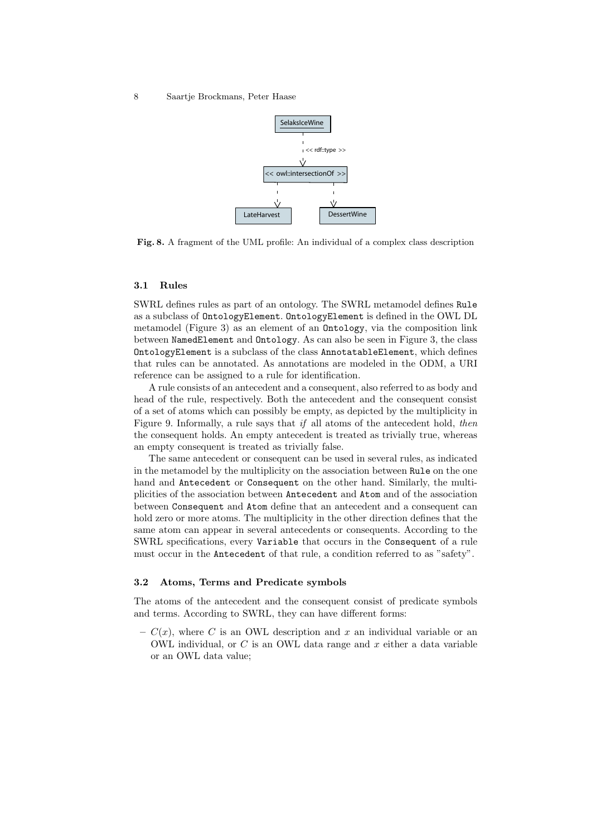

Fig. 8. A fragment of the UML profile: An individual of a complex class description

#### 3.1 Rules

SWRL defines rules as part of an ontology. The SWRL metamodel defines Rule as a subclass of OntologyElement. OntologyElement is defined in the OWL DL metamodel (Figure 3) as an element of an Ontology, via the composition link between NamedElement and Ontology. As can also be seen in Figure 3, the class OntologyElement is a subclass of the class AnnotatableElement, which defines that rules can be annotated. As annotations are modeled in the ODM, a URI reference can be assigned to a rule for identification.

A rule consists of an antecedent and a consequent, also referred to as body and head of the rule, respectively. Both the antecedent and the consequent consist of a set of atoms which can possibly be empty, as depicted by the multiplicity in Figure 9. Informally, a rule says that if all atoms of the antecedent hold, then the consequent holds. An empty antecedent is treated as trivially true, whereas an empty consequent is treated as trivially false.

The same antecedent or consequent can be used in several rules, as indicated in the metamodel by the multiplicity on the association between Rule on the one hand and Antecedent or Consequent on the other hand. Similarly, the multiplicities of the association between Antecedent and Atom and of the association between Consequent and Atom define that an antecedent and a consequent can hold zero or more atoms. The multiplicity in the other direction defines that the same atom can appear in several antecedents or consequents. According to the SWRL specifications, every Variable that occurs in the Consequent of a rule must occur in the Antecedent of that rule, a condition referred to as "safety".

#### 3.2 Atoms, Terms and Predicate symbols

The atoms of the antecedent and the consequent consist of predicate symbols and terms. According to SWRL, they can have different forms:

–  $C(x)$ , where C is an OWL description and x an individual variable or an OWL individual, or  $C$  is an OWL data range and  $x$  either a data variable or an OWL data value;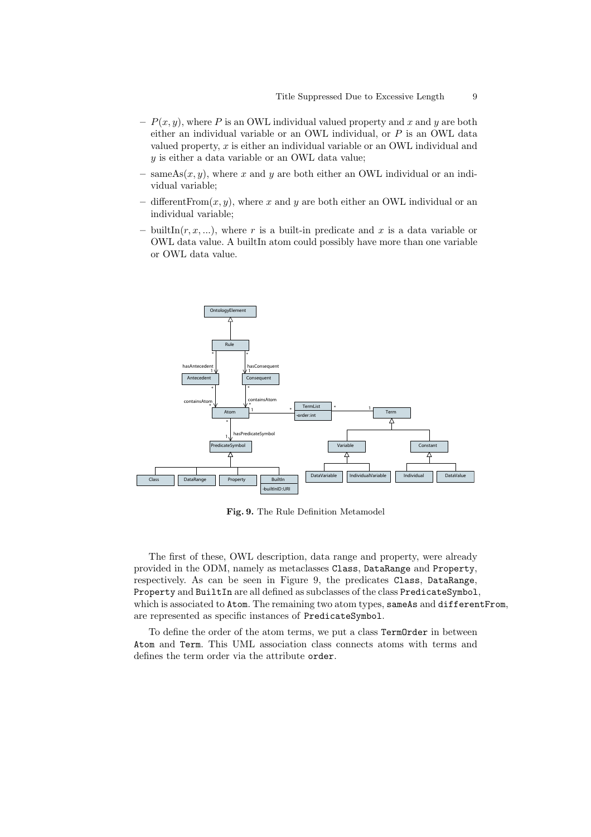- $-P(x, y)$ , where P is an OWL individual valued property and x and y are both either an individual variable or an OWL individual, or P is an OWL data valued property,  $x$  is either an individual variable or an OWL individual and y is either a data variable or an OWL data value;
- same $\text{As}(x, y)$ , where x and y are both either an OWL individual or an individual variable;
- different From  $(x, y)$ , where x and y are both either an OWL individual or an individual variable;
- built $\text{In}(r, x, \ldots)$ , where r is a built-in predicate and x is a data variable or OWL data value. A builtIn atom could possibly have more than one variable or OWL data value.



Fig. 9. The Rule Definition Metamodel

The first of these, OWL description, data range and property, were already provided in the ODM, namely as metaclasses Class, DataRange and Property, respectively. As can be seen in Figure 9, the predicates Class, DataRange, Property and BuiltIn are all defined as subclasses of the class PredicateSymbol, which is associated to Atom. The remaining two atom types, sameAs and differentFrom, are represented as specific instances of PredicateSymbol.

To define the order of the atom terms, we put a class TermOrder in between Atom and Term. This UML association class connects atoms with terms and defines the term order via the attribute order.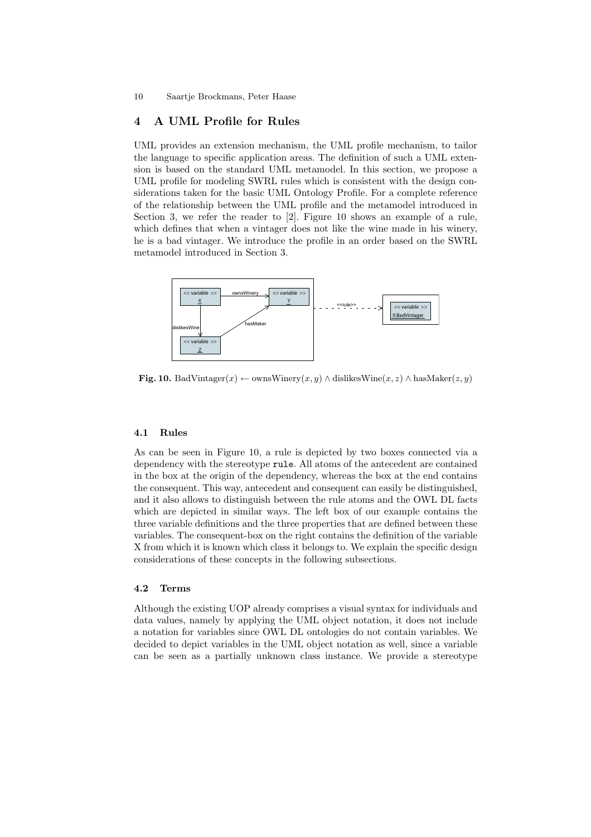# 4 A UML Profile for Rules

UML provides an extension mechanism, the UML profile mechanism, to tailor the language to specific application areas. The definition of such a UML extension is based on the standard UML metamodel. In this section, we propose a UML profile for modeling SWRL rules which is consistent with the design considerations taken for the basic UML Ontology Profile. For a complete reference of the relationship between the UML profile and the metamodel introduced in Section 3, we refer the reader to [2]. Figure 10 shows an example of a rule, which defines that when a vintager does not like the wine made in his winery, he is a bad vintager. We introduce the profile in an order based on the SWRL metamodel introduced in Section 3.



Fig. 10. BadVintager $(x) \leftarrow \text{ownWinery}(x, y) \wedge \text{dislikesWine}(x, z) \wedge \text{hasMaker}(z, y)$ 

#### 4.1 Rules

As can be seen in Figure 10, a rule is depicted by two boxes connected via a dependency with the stereotype rule. All atoms of the antecedent are contained in the box at the origin of the dependency, whereas the box at the end contains the consequent. This way, antecedent and consequent can easily be distinguished, and it also allows to distinguish between the rule atoms and the OWL DL facts which are depicted in similar ways. The left box of our example contains the three variable definitions and the three properties that are defined between these variables. The consequent-box on the right contains the definition of the variable X from which it is known which class it belongs to. We explain the specific design considerations of these concepts in the following subsections.

## 4.2 Terms

Although the existing UOP already comprises a visual syntax for individuals and data values, namely by applying the UML object notation, it does not include a notation for variables since OWL DL ontologies do not contain variables. We decided to depict variables in the UML object notation as well, since a variable can be seen as a partially unknown class instance. We provide a stereotype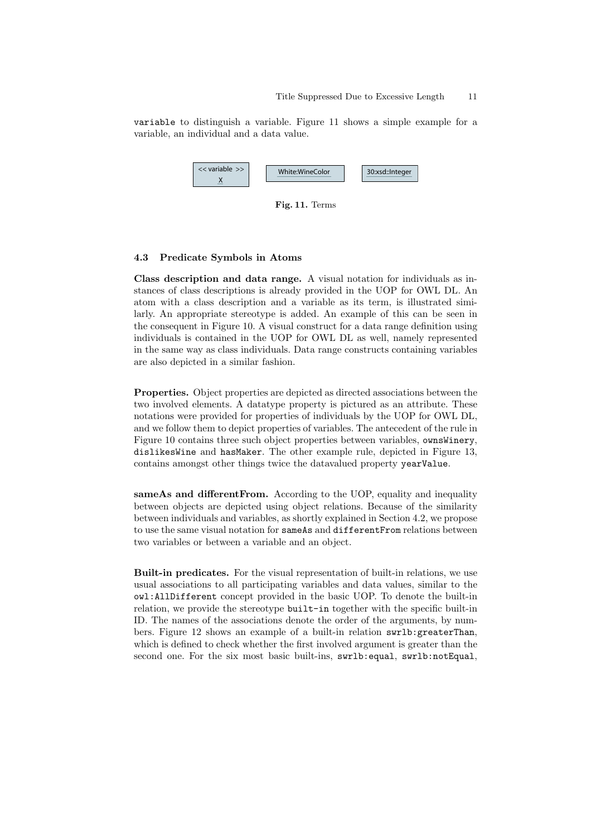variable to distinguish a variable. Figure 11 shows a simple example for a variable, an individual and a data value.



Fig. 11. Terms

#### 4.3 Predicate Symbols in Atoms

Class description and data range. A visual notation for individuals as instances of class descriptions is already provided in the UOP for OWL DL. An atom with a class description and a variable as its term, is illustrated similarly. An appropriate stereotype is added. An example of this can be seen in the consequent in Figure 10. A visual construct for a data range definition using individuals is contained in the UOP for OWL DL as well, namely represented in the same way as class individuals. Data range constructs containing variables are also depicted in a similar fashion.

Properties. Object properties are depicted as directed associations between the two involved elements. A datatype property is pictured as an attribute. These notations were provided for properties of individuals by the UOP for OWL DL, and we follow them to depict properties of variables. The antecedent of the rule in Figure 10 contains three such object properties between variables, ownsWinery, dislikesWine and hasMaker. The other example rule, depicted in Figure 13, contains amongst other things twice the datavalued property yearValue.

sameAs and differentFrom. According to the UOP, equality and inequality between objects are depicted using object relations. Because of the similarity between individuals and variables, as shortly explained in Section 4.2, we propose to use the same visual notation for sameAs and differentFrom relations between two variables or between a variable and an object.

Built-in predicates. For the visual representation of built-in relations, we use usual associations to all participating variables and data values, similar to the owl:AllDifferent concept provided in the basic UOP. To denote the built-in relation, we provide the stereotype built-in together with the specific built-in ID. The names of the associations denote the order of the arguments, by numbers. Figure 12 shows an example of a built-in relation swrlb:greaterThan, which is defined to check whether the first involved argument is greater than the second one. For the six most basic built-ins, swrlb:equal, swrlb:notEqual,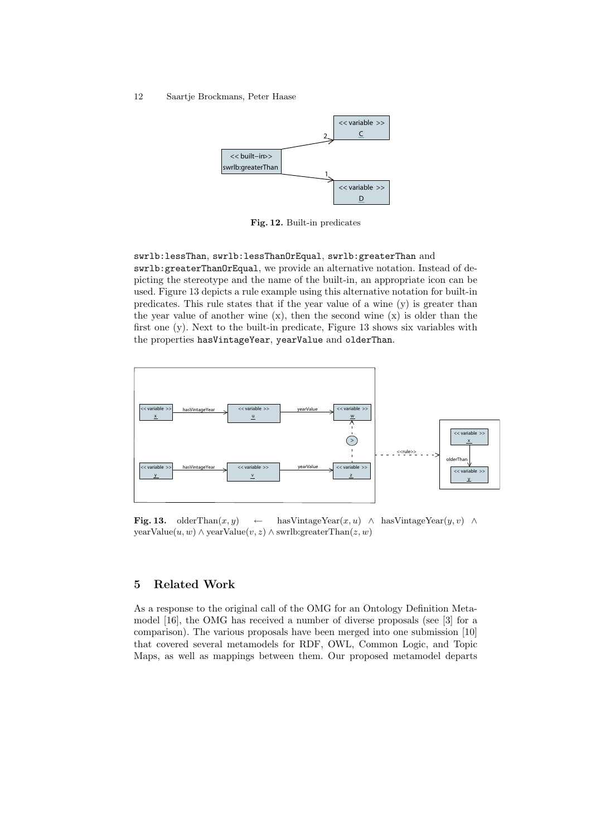

Fig. 12. Built-in predicates

swrlb:lessThan, swrlb:lessThanOrEqual, swrlb:greaterThan and swrlb:greaterThanOrEqual, we provide an alternative notation. Instead of depicting the stereotype and the name of the built-in, an appropriate icon can be used. Figure 13 depicts a rule example using this alternative notation for built-in predicates. This rule states that if the year value of a wine (y) is greater than the year value of another wine  $(x)$ , then the second wine  $(x)$  is older than the first one (y). Next to the built-in predicate, Figure 13 shows six variables with the properties hasVintageYear, yearValue and olderThan.



**Fig. 13.** olderThan $(x, y) \leftarrow$  hasVintageYear $(x, u) \wedge$  hasVintageYear $(y, v) \wedge$ yearValue(u, w) ∧ yearValue(v, z) ∧ swrlb:greaterThan(z, w)

# 5 Related Work

As a response to the original call of the OMG for an Ontology Definition Metamodel [16], the OMG has received a number of diverse proposals (see [3] for a comparison). The various proposals have been merged into one submission [10] that covered several metamodels for RDF, OWL, Common Logic, and Topic Maps, as well as mappings between them. Our proposed metamodel departs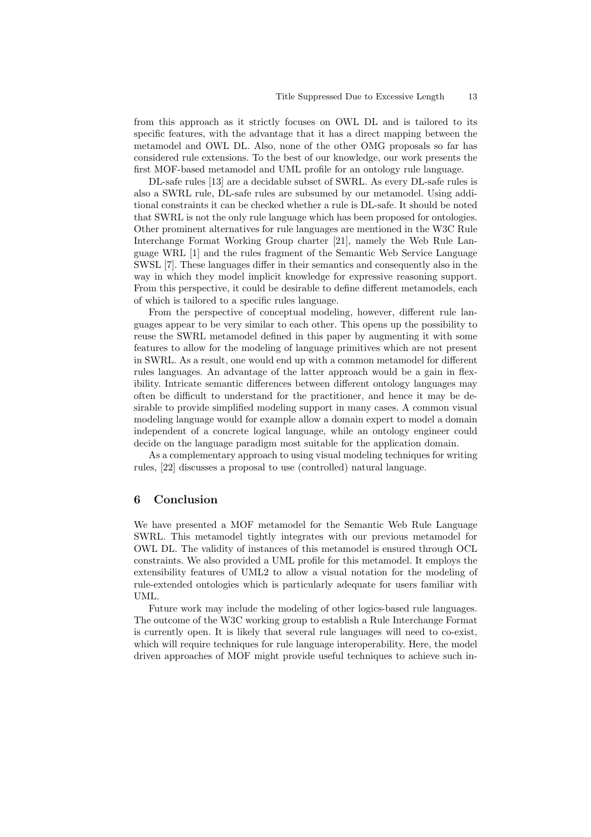from this approach as it strictly focuses on OWL DL and is tailored to its specific features, with the advantage that it has a direct mapping between the metamodel and OWL DL. Also, none of the other OMG proposals so far has considered rule extensions. To the best of our knowledge, our work presents the first MOF-based metamodel and UML profile for an ontology rule language.

DL-safe rules [13] are a decidable subset of SWRL. As every DL-safe rules is also a SWRL rule, DL-safe rules are subsumed by our metamodel. Using additional constraints it can be checked whether a rule is DL-safe. It should be noted that SWRL is not the only rule language which has been proposed for ontologies. Other prominent alternatives for rule languages are mentioned in the W3C Rule Interchange Format Working Group charter [21], namely the Web Rule Language WRL [1] and the rules fragment of the Semantic Web Service Language SWSL [7]. These languages differ in their semantics and consequently also in the way in which they model implicit knowledge for expressive reasoning support. From this perspective, it could be desirable to define different metamodels, each of which is tailored to a specific rules language.

From the perspective of conceptual modeling, however, different rule languages appear to be very similar to each other. This opens up the possibility to reuse the SWRL metamodel defined in this paper by augmenting it with some features to allow for the modeling of language primitives which are not present in SWRL. As a result, one would end up with a common metamodel for different rules languages. An advantage of the latter approach would be a gain in flexibility. Intricate semantic differences between different ontology languages may often be difficult to understand for the practitioner, and hence it may be desirable to provide simplified modeling support in many cases. A common visual modeling language would for example allow a domain expert to model a domain independent of a concrete logical language, while an ontology engineer could decide on the language paradigm most suitable for the application domain.

As a complementary approach to using visual modeling techniques for writing rules, [22] discusses a proposal to use (controlled) natural language.

# 6 Conclusion

We have presented a MOF metamodel for the Semantic Web Rule Language SWRL. This metamodel tightly integrates with our previous metamodel for OWL DL. The validity of instances of this metamodel is ensured through OCL constraints. We also provided a UML profile for this metamodel. It employs the extensibility features of UML2 to allow a visual notation for the modeling of rule-extended ontologies which is particularly adequate for users familiar with UML.

Future work may include the modeling of other logics-based rule languages. The outcome of the W3C working group to establish a Rule Interchange Format is currently open. It is likely that several rule languages will need to co-exist, which will require techniques for rule language interoperability. Here, the model driven approaches of MOF might provide useful techniques to achieve such in-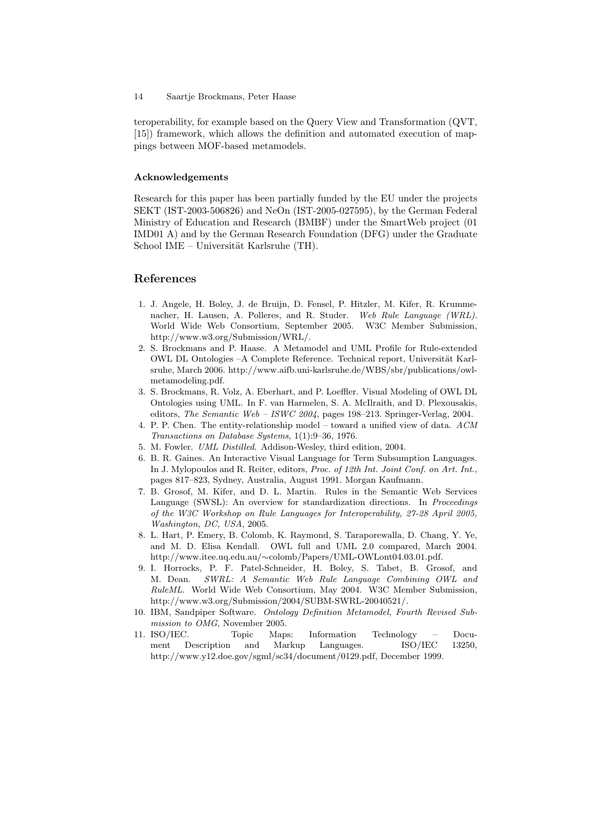teroperability, for example based on the Query View and Transformation (QVT, [15]) framework, which allows the definition and automated execution of mappings between MOF-based metamodels.

#### Acknowledgements

Research for this paper has been partially funded by the EU under the projects SEKT (IST-2003-506826) and NeOn (IST-2005-027595), by the German Federal Ministry of Education and Research (BMBF) under the SmartWeb project (01 IMD01 A) and by the German Research Foundation (DFG) under the Graduate School IME – Universität Karlsruhe (TH).

# References

- 1. J. Angele, H. Boley, J. de Bruijn, D. Fensel, P. Hitzler, M. Kifer, R. Krummenacher, H. Lausen, A. Polleres, and R. Studer. Web Rule Language (WRL). World Wide Web Consortium, September 2005. W3C Member Submission, http://www.w3.org/Submission/WRL/.
- 2. S. Brockmans and P. Haase. A Metamodel and UML Profile for Rule-extended OWL DL Ontologies -A Complete Reference. Technical report, Universität Karlsruhe, March 2006. http://www.aifb.uni-karlsruhe.de/WBS/sbr/publications/owlmetamodeling.pdf.
- 3. S. Brockmans, R. Volz, A. Eberhart, and P. Loeffler. Visual Modeling of OWL DL Ontologies using UML. In F. van Harmelen, S. A. McIlraith, and D. Plexousakis, editors, The Semantic Web – ISWC 2004, pages 198–213. Springer-Verlag, 2004.
- 4. P. P. Chen. The entity-relationship model toward a unified view of data. ACM Transactions on Database Systems, 1(1):9–36, 1976.
- 5. M. Fowler. UML Distilled. Addison-Wesley, third edition, 2004.
- 6. B. R. Gaines. An Interactive Visual Language for Term Subsumption Languages. In J. Mylopoulos and R. Reiter, editors, Proc. of 12th Int. Joint Conf. on Art. Int., pages 817–823, Sydney, Australia, August 1991. Morgan Kaufmann.
- 7. B. Grosof, M. Kifer, and D. L. Martin. Rules in the Semantic Web Services Language (SWSL): An overview for standardization directions. In *Proceedings* of the W3C Workshop on Rule Languages for Interoperability, 27-28 April 2005, Washington, DC, USA, 2005.
- 8. L. Hart, P. Emery, B. Colomb, K. Raymond, S. Taraporewalla, D. Chang, Y. Ye, and M. D. Elisa Kendall. OWL full and UML 2.0 compared, March 2004. http://www.itee.uq.edu.au/∼colomb/Papers/UML-OWLont04.03.01.pdf.
- 9. I. Horrocks, P. F. Patel-Schneider, H. Boley, S. Tabet, B. Grosof, and M. Dean. SWRL: A Semantic Web Rule Language Combining OWL and RuleML. World Wide Web Consortium, May 2004. W3C Member Submission, http://www.w3.org/Submission/2004/SUBM-SWRL-20040521/.
- 10. IBM, Sandpiper Software. Ontology Definition Metamodel, Fourth Revised Submission to OMG, November 2005.
- 11. ISO/IEC. Topic Maps: Information Technology Document Description and Markup Languages. ISO/IEC 13250, http://www.y12.doe.gov/sgml/sc34/document/0129.pdf, December 1999.